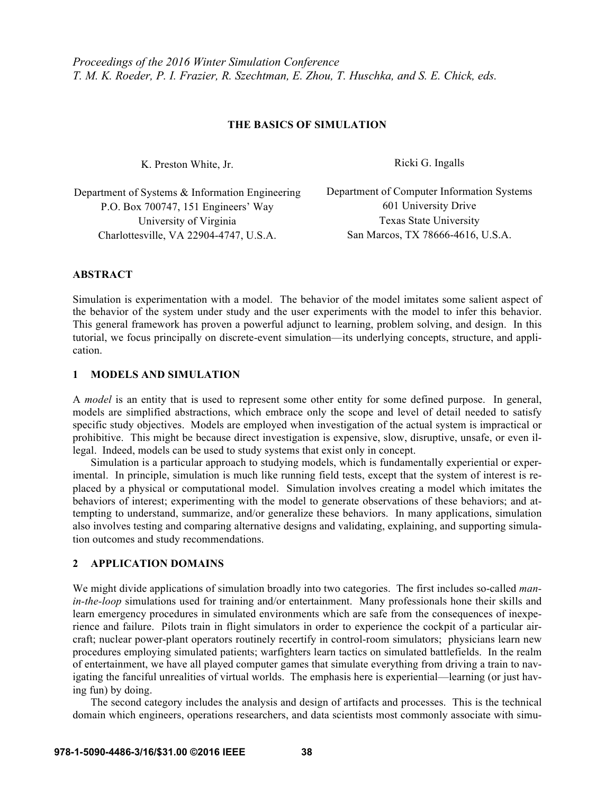### **THE BASICS OF SIMULATION**

K. Preston White, Jr. Ricki G. Ingalls

Department of Systems & Information Engineering Department of Computer Information Systems P.O. Box  $700747$ , 151 Engineers' Way University of Virginia Charlottesville, VA 22904-4747, U.S.A.

601 University Drive Texas State University San Marcos, TX 78666-4616, U.S.A.

## **ABSTRACT**

Simulation is experimentation with a model. The behavior of the model imitates some salient aspect of the behavior of the system under study and the user experiments with the model to infer this behavior. This general framework has proven a powerful adjunct to learning, problem solving, and design. In this tutorial, we focus principally on discrete-event simulation—its underlying concepts, structure, and application.

## **1 MODELS AND SIMULATION**

A *model* is an entity that is used to represent some other entity for some defined purpose. In general, models are simplified abstractions, which embrace only the scope and level of detail needed to satisfy specific study objectives. Models are employed when investigation of the actual system is impractical or prohibitive. This might be because direct investigation is expensive, slow, disruptive, unsafe, or even illegal. Indeed, models can be used to study systems that exist only in concept.

Simulation is a particular approach to studying models, which is fundamentally experiential or experimental. In principle, simulation is much like running field tests, except that the system of interest is replaced by a physical or computational model. Simulation involves creating a model which imitates the behaviors of interest; experimenting with the model to generate observations of these behaviors; and attempting to understand, summarize, and/or generalize these behaviors. In many applications, simulation also involves testing and comparing alternative designs and validating, explaining, and supporting simulation outcomes and study recommendations.

## **2 APPLICATION DOMAINS**

We might divide applications of simulation broadly into two categories. The first includes so-called *manin-the-loop* simulations used for training and/or entertainment. Many professionals hone their skills and learn emergency procedures in simulated environments which are safe from the consequences of inexperience and failure. Pilots train in flight simulators in order to experience the cockpit of a particular aircraft; nuclear power-plant operators routinely recertify in control-room simulators; physicians learn new procedures employing simulated patients; warfighters learn tactics on simulated battlefields. In the realm of entertainment, we have all played computer games that simulate everything from driving a train to navigating the fanciful unrealities of virtual worlds. The emphasis here is experiential—learning (or just having fun) by doing.

The second category includes the analysis and design of artifacts and processes. This is the technical domain which engineers, operations researchers, and data scientists most commonly associate with simu-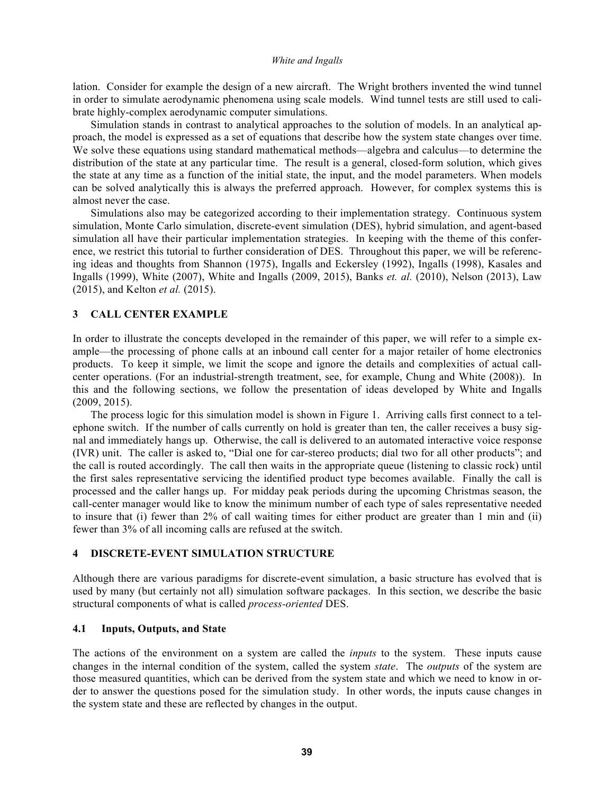lation. Consider for example the design of a new aircraft. The Wright brothers invented the wind tunnel in order to simulate aerodynamic phenomena using scale models. Wind tunnel tests are still used to calibrate highly-complex aerodynamic computer simulations.

Simulation stands in contrast to analytical approaches to the solution of models. In an analytical approach, the model is expressed as a set of equations that describe how the system state changes over time. We solve these equations using standard mathematical methods—algebra and calculus—to determine the distribution of the state at any particular time. The result is a general, closed-form solution, which gives the state at any time as a function of the initial state, the input, and the model parameters. When models can be solved analytically this is always the preferred approach. However, for complex systems this is almost never the case.

Simulations also may be categorized according to their implementation strategy. Continuous system simulation, Monte Carlo simulation, discrete-event simulation (DES), hybrid simulation, and agent-based simulation all have their particular implementation strategies. In keeping with the theme of this conference, we restrict this tutorial to further consideration of DES. Throughout this paper, we will be referencing ideas and thoughts from Shannon (1975), Ingalls and Eckersley (1992), Ingalls (1998), Kasales and Ingalls (1999), White (2007), White and Ingalls (2009, 2015), Banks *et. al.* (2010), Nelson (2013), Law (2015), and Kelton *et al.* (2015).

## **3 CALL CENTER EXAMPLE**

In order to illustrate the concepts developed in the remainder of this paper, we will refer to a simple example—the processing of phone calls at an inbound call center for a major retailer of home electronics products. To keep it simple, we limit the scope and ignore the details and complexities of actual callcenter operations. (For an industrial-strength treatment, see, for example, Chung and White (2008)). In this and the following sections, we follow the presentation of ideas developed by White and Ingalls (2009, 2015).

The process logic for this simulation model is shown in Figure 1. Arriving calls first connect to a telephone switch. If the number of calls currently on hold is greater than ten, the caller receives a busy signal and immediately hangs up. Otherwise, the call is delivered to an automated interactive voice response (IVR) unit. The caller is asked to, "Dial one for car-stereo products; dial two for all other products"; and the call is routed accordingly. The call then waits in the appropriate queue (listening to classic rock) until the first sales representative servicing the identified product type becomes available. Finally the call is processed and the caller hangs up. For midday peak periods during the upcoming Christmas season, the call-center manager would like to know the minimum number of each type of sales representative needed to insure that (i) fewer than 2% of call waiting times for either product are greater than 1 min and (ii) fewer than 3% of all incoming calls are refused at the switch.

## **4 DISCRETE-EVENT SIMULATION STRUCTURE**

Although there are various paradigms for discrete-event simulation, a basic structure has evolved that is used by many (but certainly not all) simulation software packages. In this section, we describe the basic structural components of what is called *process-oriented* DES.

## **4.1 Inputs, Outputs, and State**

The actions of the environment on a system are called the *inputs* to the system. These inputs cause changes in the internal condition of the system, called the system *state*. The *outputs* of the system are those measured quantities, which can be derived from the system state and which we need to know in order to answer the questions posed for the simulation study. In other words, the inputs cause changes in the system state and these are reflected by changes in the output.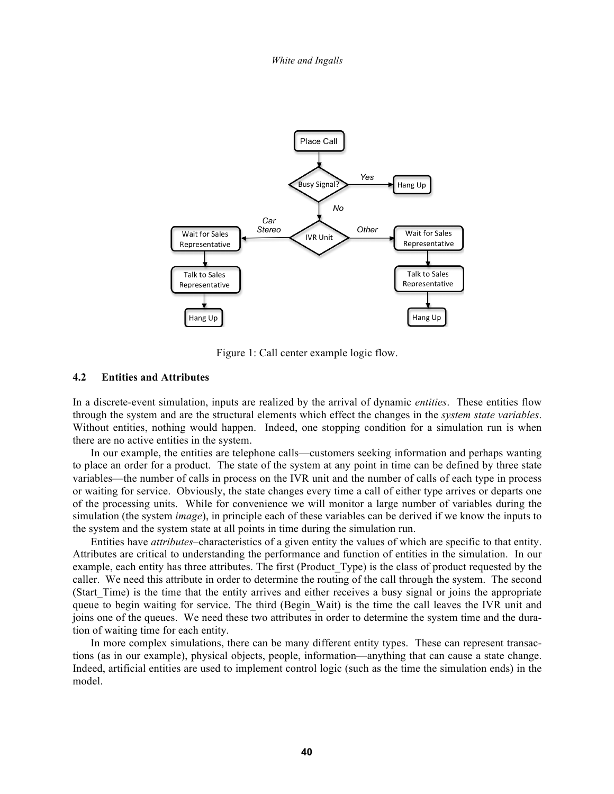

Figure 1: Call center example logic flow.

### **4.2 Entities and Attributes**

In a discrete-event simulation, inputs are realized by the arrival of dynamic *entities*. These entities flow through the system and are the structural elements which effect the changes in the *system state variables*. Without entities, nothing would happen. Indeed, one stopping condition for a simulation run is when there are no active entities in the system.

In our example, the entities are telephone calls—customers seeking information and perhaps wanting to place an order for a product. The state of the system at any point in time can be defined by three state variables—the number of calls in process on the IVR unit and the number of calls of each type in process or waiting for service. Obviously, the state changes every time a call of either type arrives or departs one of the processing units. While for convenience we will monitor a large number of variables during the simulation (the system *image*), in principle each of these variables can be derived if we know the inputs to the system and the system state at all points in time during the simulation run.

Entities have *attributes*–characteristics of a given entity the values of which are specific to that entity. Attributes are critical to understanding the performance and function of entities in the simulation. In our example, each entity has three attributes. The first (Product\_Type) is the class of product requested by the caller. We need this attribute in order to determine the routing of the call through the system. The second (Start Time) is the time that the entity arrives and either receives a busy signal or joins the appropriate queue to begin waiting for service. The third (Begin Wait) is the time the call leaves the IVR unit and joins one of the queues. We need these two attributes in order to determine the system time and the duration of waiting time for each entity.

In more complex simulations, there can be many different entity types. These can represent transactions (as in our example), physical objects, people, information—anything that can cause a state change. Indeed, artificial entities are used to implement control logic (such as the time the simulation ends) in the model.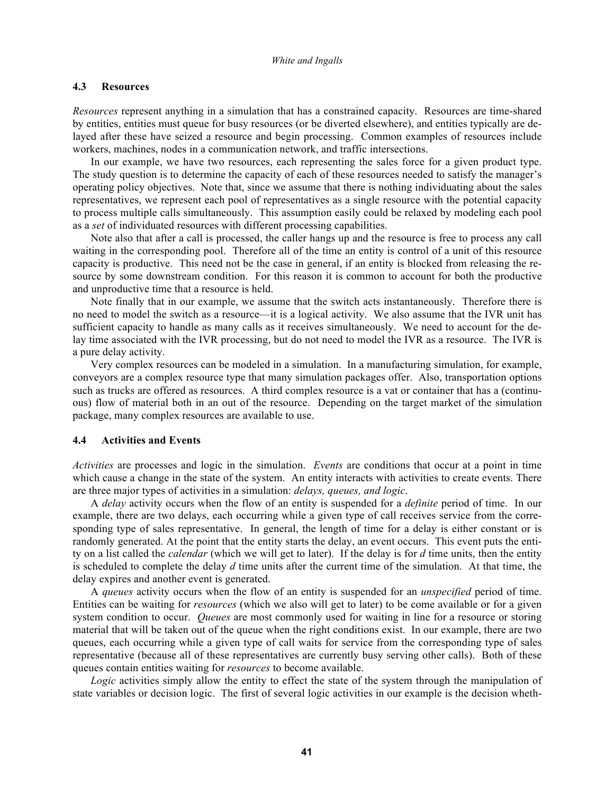### **4.3 Resources**

*Resources* represent anything in a simulation that has a constrained capacity. Resources are time-shared by entities, entities must queue for busy resources (or be diverted elsewhere), and entities typically are delayed after these have seized a resource and begin processing. Common examples of resources include workers, machines, nodes in a communication network, and traffic intersections.

In our example, we have two resources, each representing the sales force for a given product type. The study question is to determine the capacity of each of these resources needed to satisfy the manager's operating policy objectives. Note that, since we assume that there is nothing individuating about the sales representatives, we represent each pool of representatives as a single resource with the potential capacity to process multiple calls simultaneously. This assumption easily could be relaxed by modeling each pool as a *set* of individuated resources with different processing capabilities.

Note also that after a call is processed, the caller hangs up and the resource is free to process any call waiting in the corresponding pool. Therefore all of the time an entity is control of a unit of this resource capacity is productive. This need not be the case in general, if an entity is blocked from releasing the resource by some downstream condition. For this reason it is common to account for both the productive and unproductive time that a resource is held.

Note finally that in our example, we assume that the switch acts instantaneously. Therefore there is no need to model the switch as a resource—it is a logical activity. We also assume that the IVR unit has sufficient capacity to handle as many calls as it receives simultaneously. We need to account for the delay time associated with the IVR processing, but do not need to model the IVR as a resource. The IVR is a pure delay activity.

Very complex resources can be modeled in a simulation. In a manufacturing simulation, for example, conveyors are a complex resource type that many simulation packages offer. Also, transportation options such as trucks are offered as resources. A third complex resource is a vat or container that has a (continuous) flow of material both in an out of the resource. Depending on the target market of the simulation package, many complex resources are available to use.

### **4.4 Activities and Events**

*Activities* are processes and logic in the simulation. *Events* are conditions that occur at a point in time which cause a change in the state of the system. An entity interacts with activities to create events. There are three major types of activities in a simulation: *delays, queues, and logic*.

A *delay* activity occurs when the flow of an entity is suspended for a *definite* period of time. In our example, there are two delays, each occurring while a given type of call receives service from the corresponding type of sales representative. In general, the length of time for a delay is either constant or is randomly generated. At the point that the entity starts the delay, an event occurs. This event puts the entity on a list called the *calendar* (which we will get to later). If the delay is for *d* time units, then the entity is scheduled to complete the delay *d* time units after the current time of the simulation. At that time, the delay expires and another event is generated.

A *queues* activity occurs when the flow of an entity is suspended for an *unspecified* period of time. Entities can be waiting for *resources* (which we also will get to later) to be come available or for a given system condition to occur. *Queues* are most commonly used for waiting in line for a resource or storing material that will be taken out of the queue when the right conditions exist. In our example, there are two queues, each occurring while a given type of call waits for service from the corresponding type of sales representative (because all of these representatives are currently busy serving other calls). Both of these queues contain entities waiting for *resources* to become available.

*Logic* activities simply allow the entity to effect the state of the system through the manipulation of state variables or decision logic. The first of several logic activities in our example is the decision wheth-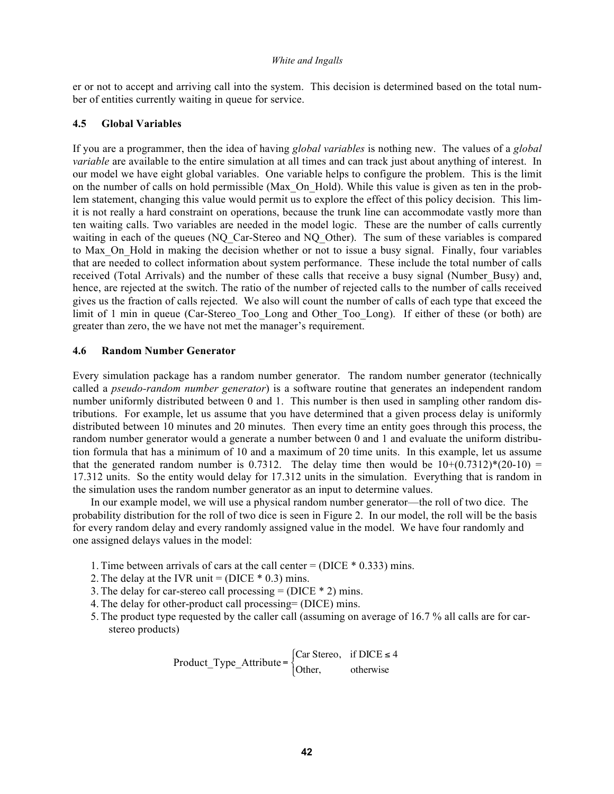er or not to accept and arriving call into the system. This decision is determined based on the total number of entities currently waiting in queue for service.

## **4.5 Global Variables**

If you are a programmer, then the idea of having *global variables* is nothing new. The values of a *global variable* are available to the entire simulation at all times and can track just about anything of interest. In our model we have eight global variables. One variable helps to configure the problem. This is the limit on the number of calls on hold permissible (Max\_On\_Hold). While this value is given as ten in the problem statement, changing this value would permit us to explore the effect of this policy decision. This limit is not really a hard constraint on operations, because the trunk line can accommodate vastly more than ten waiting calls. Two variables are needed in the model logic. These are the number of calls currently waiting in each of the queues (NQ\_Car-Stereo and NQ\_Other). The sum of these variables is compared to Max\_On\_Hold in making the decision whether or not to issue a busy signal. Finally, four variables that are needed to collect information about system performance. These include the total number of calls received (Total Arrivals) and the number of these calls that receive a busy signal (Number\_Busy) and, hence, are rejected at the switch. The ratio of the number of rejected calls to the number of calls received gives us the fraction of calls rejected. We also will count the number of calls of each type that exceed the limit of 1 min in queue (Car-Stereo Too Long and Other Too Long). If either of these (or both) are greater than zero, the we have not met the manager's requirement.

### **4.6 Random Number Generator**

Every simulation package has a random number generator. The random number generator (technically called a *pseudo-random number generator*) is a software routine that generates an independent random number uniformly distributed between 0 and 1. This number is then used in sampling other random distributions. For example, let us assume that you have determined that a given process delay is uniformly distributed between 10 minutes and 20 minutes. Then every time an entity goes through this process, the random number generator would a generate a number between 0 and 1 and evaluate the uniform distribution formula that has a minimum of 10 and a maximum of 20 time units. In this example, let us assume that the generated random number is 0.7312. The delay time then would be  $10+(0.7312)*(20-10) =$ 17.312 units. So the entity would delay for 17.312 units in the simulation. Everything that is random in the simulation uses the random number generator as an input to determine values.

In our example model, we will use a physical random number generator—the roll of two dice. The probability distribution for the roll of two dice is seen in Figure 2. In our model, the roll will be the basis for every random delay and every randomly assigned value in the model. We have four randomly and one assigned delays values in the model:

- 1. Time between arrivals of cars at the call center = (DICE \* 0.333) mins.
- 2. The delay at the IVR unit  $=$  (DICE  $*$  0.3) mins.
- 3. The delay for car-stereo call processing  $=$  (DICE  $*$  2) mins.
- 4. The delay for other-product call processing= (DICE) mins.
- 5. The product type requested by the caller call (assuming on average of 16.7 % all calls are for carstereo products)

 $Product\_Type\_Attribute = \begin{cases} Car Stereo, & \text{if DICE } \leq 4 \\ Other, & \text{otherwise} \end{cases}$ ⎧ ⎨ ⎩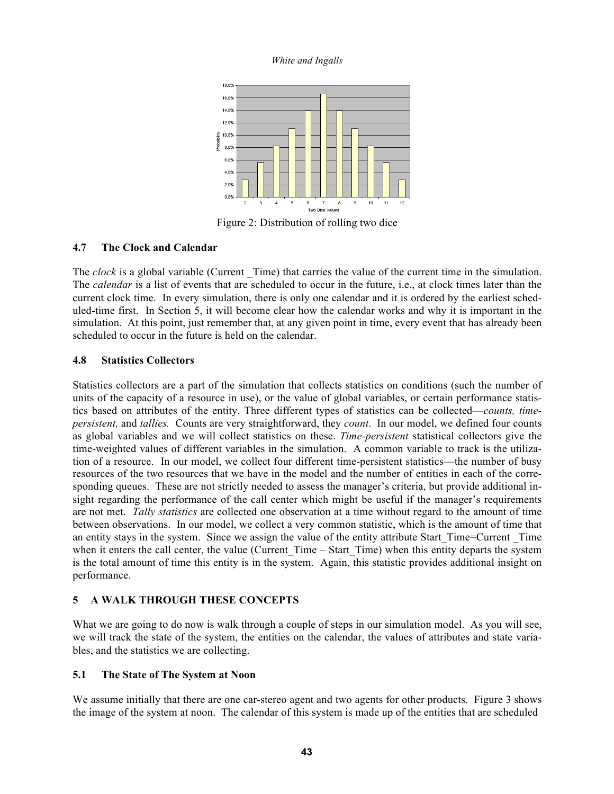

Figure 2: Distribution of rolling two dice

# **4.7 The Clock and Calendar**

The *clock* is a global variable (Current Time) that carries the value of the current time in the simulation. The *calendar* is a list of events that are scheduled to occur in the future, i.e., at clock times later than the current clock time. In every simulation, there is only one calendar and it is ordered by the earliest scheduled-time first. In Section 5, it will become clear how the calendar works and why it is important in the simulation. At this point, just remember that, at any given point in time, every event that has already been scheduled to occur in the future is held on the calendar.

## **4.8 Statistics Collectors**

Statistics collectors are a part of the simulation that collects statistics on conditions (such the number of units of the capacity of a resource in use), or the value of global variables, or certain performance statistics based on attributes of the entity. Three different types of statistics can be collected—*counts, timepersistent,* and *tallies.* Counts are very straightforward, they *count*. In our model, we defined four counts as global variables and we will collect statistics on these. *Time-persistent* statistical collectors give the time-weighted values of different variables in the simulation. A common variable to track is the utilization of a resource. In our model, we collect four different time-persistent statistics—the number of busy resources of the two resources that we have in the model and the number of entities in each of the corresponding queues. These are not strictly needed to assess the manager's criteria, but provide additional insight regarding the performance of the call center which might be useful if the manager's requirements are not met. *Tally statistics* are collected one observation at a time without regard to the amount of time between observations. In our model, we collect a very common statistic, which is the amount of time that an entity stays in the system. Since we assign the value of the entity attribute Start\_Time=Current \_Time when it enters the call center, the value (Current Time – Start Time) when this entity departs the system is the total amount of time this entity is in the system. Again, this statistic provides additional insight on performance.

## **5 A WALK THROUGH THESE CONCEPTS**

What we are going to do now is walk through a couple of steps in our simulation model. As you will see, we will track the state of the system, the entities on the calendar, the values of attributes and state variables, and the statistics we are collecting.

## **5.1 The State of The System at Noon**

We assume initially that there are one car-stereo agent and two agents for other products. Figure 3 shows the image of the system at noon. The calendar of this system is made up of the entities that are scheduled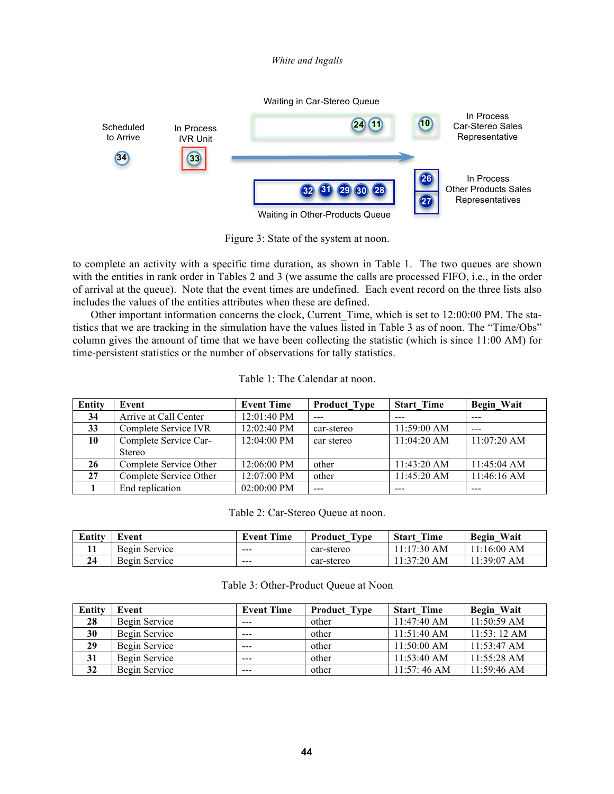



Figure 3: State of the system at noon.

to complete an activity with a specific time duration, as shown in Table 1. The two queues are shown with the entities in rank order in Tables 2 and 3 (we assume the calls are processed FIFO, i.e., in the order of arrival at the queue). Note that the event times are undefined. Each event record on the three lists also includes the values of the entities attributes when these are defined.

Other important information concerns the clock, Current Time, which is set to 12:00:00 PM. The statistics that we are tracking in the simulation have the values listed in Table 3 as of noon. The "Time/Obs" column gives the amount of time that we have been collecting the statistic (which is since 11:00 AM) for time-persistent statistics or the number of observations for tally statistics.

| <b>Entity</b> | Event                  | <b>Event Time</b>     | <b>Product Type</b> | <b>Start Time</b> | Begin Wait    |
|---------------|------------------------|-----------------------|---------------------|-------------------|---------------|
| 34            | Arrive at Call Center  | $12:01:40 \text{ PM}$ | $- - -$             |                   |               |
| 33            | Complete Service IVR   | $12:02:40 \text{ PM}$ | car-stereo          | 11:59:00 AM       |               |
| 10            | Complete Service Car-  | $12:04:00 \text{ PM}$ | car stereo          | $11:04:20$ AM     | $11:07:20$ AM |
|               | <b>Stereo</b>          |                       |                     |                   |               |
| 26            | Complete Service Other | $12:06:00 \text{ PM}$ | other               | $11:43:20$ AM     | $11:45:04$ AM |
| 27            | Complete Service Other | $12:07:00 \text{ PM}$ | other               | $11:45:20$ AM     | $11:46:16$ AM |
|               | End replication        | 02:00:00 PM           | $- - -$             | ---               | ---           |

|  |  | Table 1: The Calendar at noon. |  |  |
|--|--|--------------------------------|--|--|
|--|--|--------------------------------|--|--|

Table 2: Car-Stereo Queue at noon.

| <b>Entity</b> | Event         | <b>Event Time</b> | <b>Product Type</b> | <b>Start Time</b> | Wait<br>Begin |
|---------------|---------------|-------------------|---------------------|-------------------|---------------|
| 1 L           | Begin Service | $\frac{1}{2}$     | car-stereo          | 11:17:30 AM       | 11:16:00 AM   |
| 24            | Begin Service | $\frac{1}{2}$     | car-stereo          | $11:37:20$ AM     | $11:39:07$ AM |

Table 3: Other-Product Queue at Noon

| Entity | Event         | <b>Event Time</b> | <b>Product Type</b> | <b>Start Time</b>     | Begin Wait    |
|--------|---------------|-------------------|---------------------|-----------------------|---------------|
| 28     | Begin Service | $- - -$           | other               | $11:47:40 \text{ AM}$ | $11:50:59$ AM |
| 30     | Begin Service | $- - -$           | other               | $11:51:40$ AM         | 11:53:12 AM   |
| 29     | Begin Service | $\qquad \qquad -$ | other               | $11:50:00$ AM         | $11:53:47$ AM |
| 31     | Begin Service | $\qquad \qquad -$ | other               | $11:53:40$ AM         | $11:55:28$ AM |
| 32     | Begin Service | $- - -$           | other               | $11:57:46$ AM         | 11:59:46 AM   |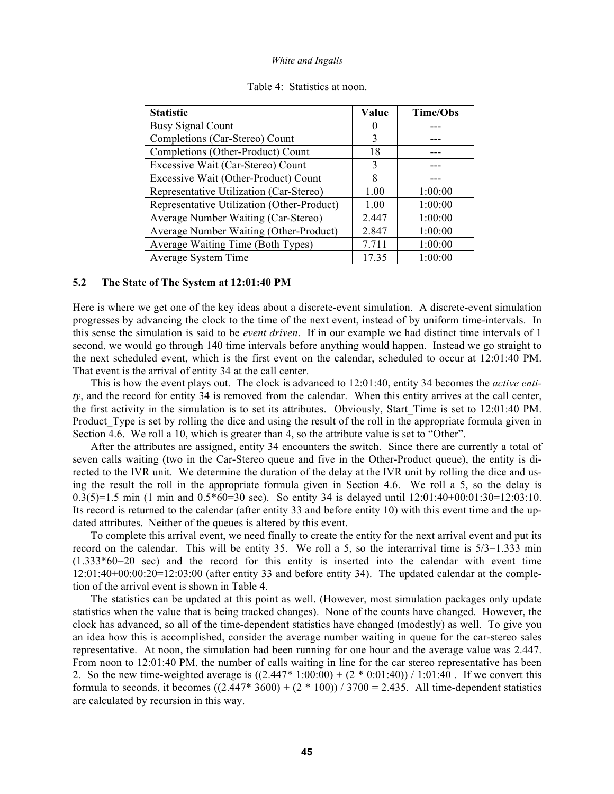| <b>Statistic</b>                           | Value    | Time/Obs |
|--------------------------------------------|----------|----------|
| <b>Busy Signal Count</b>                   | $\theta$ |          |
| Completions (Car-Stereo) Count             | 3        |          |
| Completions (Other-Product) Count          | 18       |          |
| Excessive Wait (Car-Stereo) Count          | 3        |          |
| Excessive Wait (Other-Product) Count       | 8        |          |
| Representative Utilization (Car-Stereo)    | 1.00     | 1:00:00  |
| Representative Utilization (Other-Product) | 1.00     | 1:00:00  |
| Average Number Waiting (Car-Stereo)        | 2.447    | 1:00:00  |
| Average Number Waiting (Other-Product)     | 2.847    | 1:00:00  |
| Average Waiting Time (Both Types)          | 7.711    | 1:00:00  |
| Average System Time                        | 17.35    | 1:00:00  |

### **5.2 The State of The System at 12:01:40 PM**

Here is where we get one of the key ideas about a discrete-event simulation. A discrete-event simulation progresses by advancing the clock to the time of the next event, instead of by uniform time-intervals. In this sense the simulation is said to be *event driven*. If in our example we had distinct time intervals of 1 second, we would go through 140 time intervals before anything would happen. Instead we go straight to the next scheduled event, which is the first event on the calendar, scheduled to occur at 12:01:40 PM. That event is the arrival of entity 34 at the call center.

This is how the event plays out. The clock is advanced to 12:01:40, entity 34 becomes the *active entity*, and the record for entity 34 is removed from the calendar. When this entity arrives at the call center, the first activity in the simulation is to set its attributes. Obviously, Start\_Time is set to 12:01:40 PM. Product Type is set by rolling the dice and using the result of the roll in the appropriate formula given in Section 4.6. We roll a 10, which is greater than 4, so the attribute value is set to "Other".

After the attributes are assigned, entity 34 encounters the switch. Since there are currently a total of seven calls waiting (two in the Car-Stereo queue and five in the Other-Product queue), the entity is directed to the IVR unit. We determine the duration of the delay at the IVR unit by rolling the dice and using the result the roll in the appropriate formula given in Section 4.6. We roll a 5, so the delay is  $0.3(5)=1.5$  min (1 min and  $0.5*60=30$  sec). So entity 34 is delayed until  $12:01:40+00:01:30=12:03:10$ . Its record is returned to the calendar (after entity 33 and before entity 10) with this event time and the updated attributes. Neither of the queues is altered by this event.

To complete this arrival event, we need finally to create the entity for the next arrival event and put its record on the calendar. This will be entity 35. We roll a 5, so the interarrival time is  $5/3=1.333$  min (1.333\*60=20 sec) and the record for this entity is inserted into the calendar with event time  $12:01:40+00:00:20=12:03:00$  (after entity 33 and before entity 34). The updated calendar at the completion of the arrival event is shown in Table 4.

The statistics can be updated at this point as well. (However, most simulation packages only update statistics when the value that is being tracked changes). None of the counts have changed. However, the clock has advanced, so all of the time-dependent statistics have changed (modestly) as well. To give you an idea how this is accomplished, consider the average number waiting in queue for the car-stereo sales representative. At noon, the simulation had been running for one hour and the average value was 2.447. From noon to 12:01:40 PM, the number of calls waiting in line for the car stereo representative has been 2. So the new time-weighted average is  $((2.447 * 1:00:00) + (2 * 0:01:40)) / 1:01:40$ . If we convert this formula to seconds, it becomes  $((2.447 * 3600) + (2 * 100))$  / 3700 = 2.435. All time-dependent statistics are calculated by recursion in this way.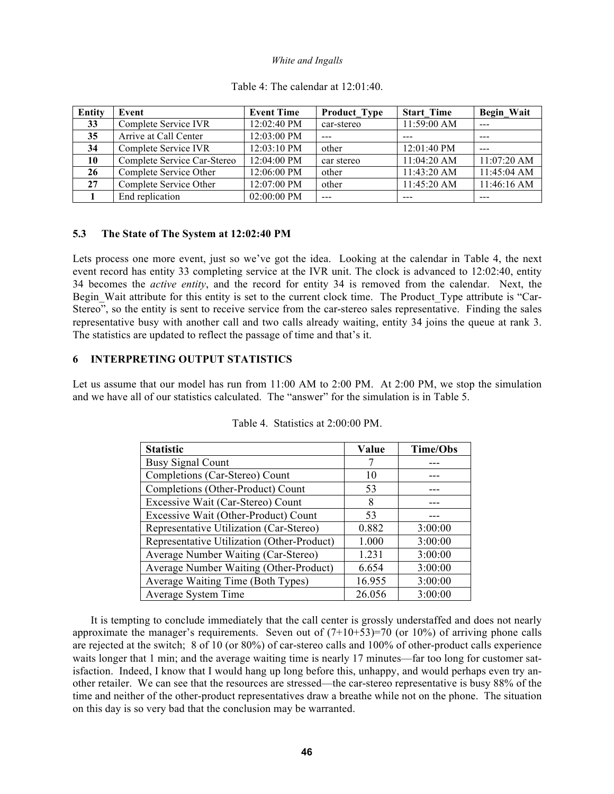| <b>Entity</b> | Event                       | <b>Event Time</b>     | <b>Product Type</b> | <b>Start Time</b>     | Begin Wait  |
|---------------|-----------------------------|-----------------------|---------------------|-----------------------|-------------|
| 33            | Complete Service IVR        | $12:02:40 \text{ PM}$ | car-stereo          | 11:59:00 AM           |             |
| 35            | Arrive at Call Center       | 12:03:00 PM           | $- - -$             |                       |             |
| 34            | Complete Service IVR        | $12:03:10 \text{ PM}$ | other               | $12:01:40 \text{ PM}$ |             |
| 10            | Complete Service Car-Stereo | $12:04:00 \text{ PM}$ | car stereo          | $11:04:20$ AM         | 11:07:20 AM |
| 26            | Complete Service Other      | 12:06:00 PM           | other               | 11:43:20 AM           | 11:45:04 AM |
| 27            | Complete Service Other      | 12:07:00 PM           | other               | $11:45:20$ AM         | 11:46:16 AM |
|               | End replication             | 02:00:00 PM           | $- - -$             | ---                   | ---         |

|  |  |  |  | Table 4: The calendar at $12:01:40$ . |
|--|--|--|--|---------------------------------------|
|--|--|--|--|---------------------------------------|

## **5.3 The State of The System at 12:02:40 PM**

Lets process one more event, just so we've got the idea. Looking at the calendar in Table 4, the next event record has entity 33 completing service at the IVR unit. The clock is advanced to 12:02:40, entity 34 becomes the *active entity*, and the record for entity 34 is removed from the calendar. Next, the Begin Wait attribute for this entity is set to the current clock time. The Product Type attribute is "Car-Stereo", so the entity is sent to receive service from the car-stereo sales representative. Finding the sales representative busy with another call and two calls already waiting, entity 34 joins the queue at rank 3. The statistics are updated to reflect the passage of time and that's it.

## **6 INTERPRETING OUTPUT STATISTICS**

Let us assume that our model has run from 11:00 AM to 2:00 PM. At 2:00 PM, we stop the simulation and we have all of our statistics calculated. The "answer" for the simulation is in Table 5.

| <b>Statistic</b>                           | Value  | Time/Obs |
|--------------------------------------------|--------|----------|
| <b>Busy Signal Count</b>                   | 7      |          |
| Completions (Car-Stereo) Count             | 10     |          |
| Completions (Other-Product) Count          | 53     |          |
| Excessive Wait (Car-Stereo) Count          | 8      |          |
| Excessive Wait (Other-Product) Count       | 53     |          |
| Representative Utilization (Car-Stereo)    | 0.882  | 3:00:00  |
| Representative Utilization (Other-Product) | 1.000  | 3:00:00  |
| Average Number Waiting (Car-Stereo)        | 1.231  | 3:00:00  |
| Average Number Waiting (Other-Product)     | 6.654  | 3:00:00  |
| Average Waiting Time (Both Types)          | 16.955 | 3:00:00  |
| Average System Time                        | 26.056 | 3:00:00  |

| Table 4. Statistics at 2:00:00 PM. |  |  |  |
|------------------------------------|--|--|--|
|------------------------------------|--|--|--|

It is tempting to conclude immediately that the call center is grossly understaffed and does not nearly approximate the manager's requirements. Seven out of  $(7+10+53)=70$  (or 10%) of arriving phone calls are rejected at the switch; 8 of 10 (or 80%) of car-stereo calls and 100% of other-product calls experience waits longer that 1 min; and the average waiting time is nearly 17 minutes—far too long for customer satisfaction. Indeed, I know that I would hang up long before this, unhappy, and would perhaps even try another retailer. We can see that the resources are stressed—the car-stereo representative is busy 88% of the time and neither of the other-product representatives draw a breathe while not on the phone. The situation on this day is so very bad that the conclusion may be warranted.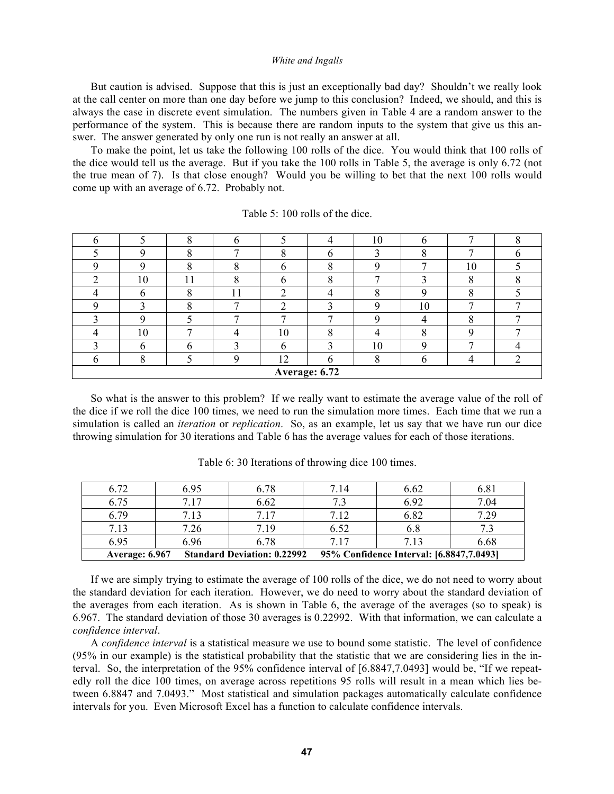But caution is advised. Suppose that this is just an exceptionally bad day? Shouldn't we really look at the call center on more than one day before we jump to this conclusion? Indeed, we should, and this is always the case in discrete event simulation. The numbers given in Table 4 are a random answer to the performance of the system. This is because there are random inputs to the system that give us this answer. The answer generated by only one run is not really an answer at all.

To make the point, let us take the following 100 rolls of the dice. You would think that 100 rolls of the dice would tell us the average. But if you take the 100 rolls in Table 5, the average is only 6.72 (not the true mean of 7). Is that close enough? Would you be willing to bet that the next 100 rolls would come up with an average of 6.72. Probably not.

|    |  |    |                      | 10 |    |    |  |
|----|--|----|----------------------|----|----|----|--|
|    |  |    |                      |    |    |    |  |
|    |  |    |                      |    |    | 10 |  |
| 10 |  |    |                      |    |    |    |  |
|    |  |    |                      |    |    |    |  |
|    |  |    |                      |    | 10 |    |  |
|    |  |    |                      |    |    |    |  |
| 10 |  | 10 |                      |    |    |    |  |
|    |  |    |                      | 10 |    |    |  |
|    |  | 12 |                      |    |    |    |  |
|    |  |    | <b>Average: 6.72</b> |    |    |    |  |

Table 5: 100 rolls of the dice.

So what is the answer to this problem? If we really want to estimate the average value of the roll of the dice if we roll the dice 100 times, we need to run the simulation more times. Each time that we run a simulation is called an *iteration* or *replication*. So, as an example, let us say that we have run our dice throwing simulation for 30 iterations and Table 6 has the average values for each of those iterations.

| 7.13<br>6.95 | $^{\prime}.26$<br>6.96 | 719<br>6.78 | 6.52<br>7.17 | 6.8<br>7.13 | 6.68 |
|--------------|------------------------|-------------|--------------|-------------|------|
| 6.79         | 7.13                   | 717         | 7.12         | 6.82        | 7.29 |
| 6.75         | 717                    | 6.62        | 72           | 6.92        | 7.04 |
| 6.72         | 6.95                   | 6.78        | 7.14         | 6.62        | 6.81 |

Table 6: 30 Iterations of throwing dice 100 times.

If we are simply trying to estimate the average of 100 rolls of the dice, we do not need to worry about the standard deviation for each iteration. However, we do need to worry about the standard deviation of the averages from each iteration. As is shown in Table 6, the average of the averages (so to speak) is 6.967. The standard deviation of those 30 averages is 0.22992. With that information, we can calculate a *confidence interval*.

A *confidence interval* is a statistical measure we use to bound some statistic. The level of confidence (95% in our example) is the statistical probability that the statistic that we are considering lies in the interval. So, the interpretation of the 95% confidence interval of [6.8847,7.0493] would be, "If we repeatedly roll the dice 100 times, on average across repetitions 95 rolls will result in a mean which lies between 6.8847 and 7.0493." Most statistical and simulation packages automatically calculate confidence intervals for you. Even Microsoft Excel has a function to calculate confidence intervals.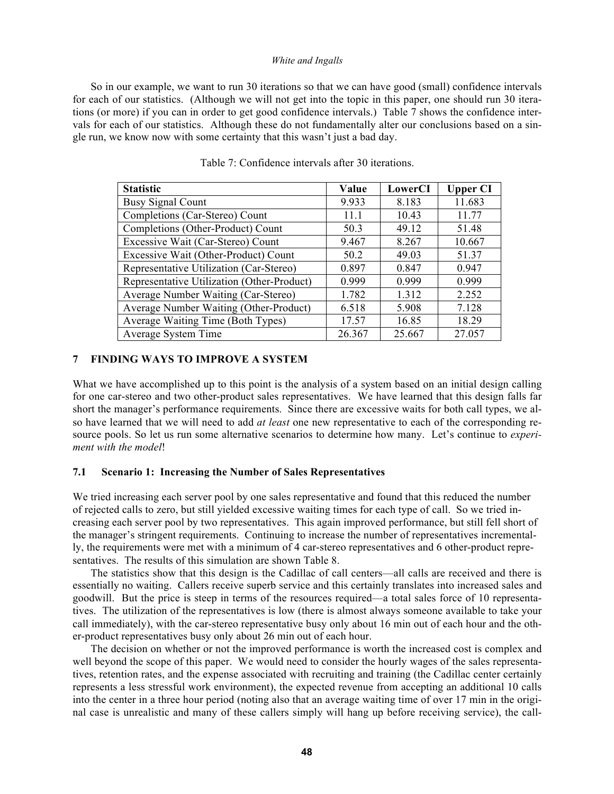So in our example, we want to run 30 iterations so that we can have good (small) confidence intervals for each of our statistics. (Although we will not get into the topic in this paper, one should run 30 iterations (or more) if you can in order to get good confidence intervals.) Table 7 shows the confidence intervals for each of our statistics. Although these do not fundamentally alter our conclusions based on a single run, we know now with some certainty that this wasn't just a bad day.

| <b>Statistic</b>                           | Value  | LowerCI | <b>Upper CI</b> |
|--------------------------------------------|--------|---------|-----------------|
| <b>Busy Signal Count</b>                   | 9.933  | 8.183   | 11.683          |
| Completions (Car-Stereo) Count             | 11.1   | 10.43   | 11.77           |
| Completions (Other-Product) Count          | 50.3   | 49.12   | 51.48           |
| Excessive Wait (Car-Stereo) Count          | 9.467  | 8.267   | 10.667          |
| Excessive Wait (Other-Product) Count       | 50.2   | 49.03   | 51.37           |
| Representative Utilization (Car-Stereo)    | 0.897  | 0.847   | 0.947           |
| Representative Utilization (Other-Product) | 0.999  | 0.999   | 0.999           |
| Average Number Waiting (Car-Stereo)        | 1.782  | 1.312   | 2.252           |
| Average Number Waiting (Other-Product)     | 6.518  | 5.908   | 7.128           |
| Average Waiting Time (Both Types)          | 17.57  | 16.85   | 18.29           |
| Average System Time                        | 26.367 | 25.667  | 27.057          |

Table 7: Confidence intervals after 30 iterations.

# **7 FINDING WAYS TO IMPROVE A SYSTEM**

What we have accomplished up to this point is the analysis of a system based on an initial design calling for one car-stereo and two other-product sales representatives. We have learned that this design falls far short the manager's performance requirements. Since there are excessive waits for both call types, we also have learned that we will need to add *at least* one new representative to each of the corresponding resource pools. So let us run some alternative scenarios to determine how many. Let's continue to *experiment with the model*!

## **7.1 Scenario 1: Increasing the Number of Sales Representatives**

We tried increasing each server pool by one sales representative and found that this reduced the number of rejected calls to zero, but still yielded excessive waiting times for each type of call. So we tried increasing each server pool by two representatives. This again improved performance, but still fell short of the manager's stringent requirements. Continuing to increase the number of representatives incrementally, the requirements were met with a minimum of 4 car-stereo representatives and 6 other-product representatives. The results of this simulation are shown Table 8.

The statistics show that this design is the Cadillac of call centers—all calls are received and there is essentially no waiting. Callers receive superb service and this certainly translates into increased sales and goodwill. But the price is steep in terms of the resources required—a total sales force of 10 representatives. The utilization of the representatives is low (there is almost always someone available to take your call immediately), with the car-stereo representative busy only about 16 min out of each hour and the other-product representatives busy only about 26 min out of each hour.

The decision on whether or not the improved performance is worth the increased cost is complex and well beyond the scope of this paper. We would need to consider the hourly wages of the sales representatives, retention rates, and the expense associated with recruiting and training (the Cadillac center certainly represents a less stressful work environment), the expected revenue from accepting an additional 10 calls into the center in a three hour period (noting also that an average waiting time of over 17 min in the original case is unrealistic and many of these callers simply will hang up before receiving service), the call-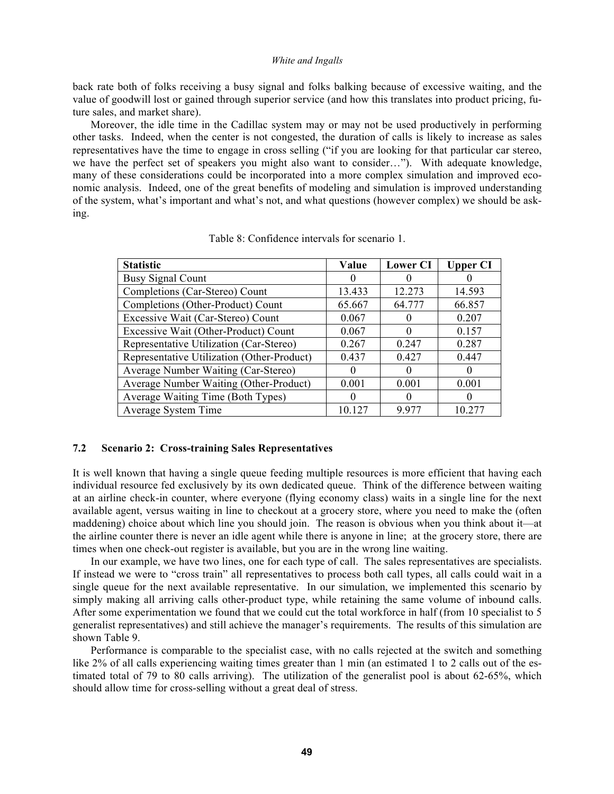back rate both of folks receiving a busy signal and folks balking because of excessive waiting, and the value of goodwill lost or gained through superior service (and how this translates into product pricing, future sales, and market share).

Moreover, the idle time in the Cadillac system may or may not be used productively in performing other tasks. Indeed, when the center is not congested, the duration of calls is likely to increase as sales representatives have the time to engage in cross selling ("if you are looking for that particular car stereo, we have the perfect set of speakers you might also want to consider…"). With adequate knowledge, many of these considerations could be incorporated into a more complex simulation and improved economic analysis. Indeed, one of the great benefits of modeling and simulation is improved understanding of the system, what's important and what's not, and what questions (however complex) we should be asking.

| <b>Statistic</b>                           | Value  | <b>Lower CI</b> | <b>Upper CI</b> |
|--------------------------------------------|--------|-----------------|-----------------|
| <b>Busy Signal Count</b>                   |        | 0               |                 |
| Completions (Car-Stereo) Count             | 13.433 | 12.273          | 14.593          |
| Completions (Other-Product) Count          | 65.667 | 64.777          | 66.857          |
| Excessive Wait (Car-Stereo) Count          | 0.067  | $\theta$        | 0.207           |
| Excessive Wait (Other-Product) Count       | 0.067  | $\theta$        | 0.157           |
| Representative Utilization (Car-Stereo)    | 0.267  | 0.247           | 0.287           |
| Representative Utilization (Other-Product) | 0.437  | 0.427           | 0.447           |
| Average Number Waiting (Car-Stereo)        |        | $\theta$        |                 |
| Average Number Waiting (Other-Product)     | 0.001  | 0.001           | 0.001           |
| Average Waiting Time (Both Types)          |        | $\Omega$        | $\Omega$        |
| Average System Time                        | 10.127 | 9977            | 10.277          |

|  |  | Table 8: Confidence intervals for scenario 1. |  |  |  |  |
|--|--|-----------------------------------------------|--|--|--|--|
|--|--|-----------------------------------------------|--|--|--|--|

### **7.2 Scenario 2: Cross-training Sales Representatives**

It is well known that having a single queue feeding multiple resources is more efficient that having each individual resource fed exclusively by its own dedicated queue. Think of the difference between waiting at an airline check-in counter, where everyone (flying economy class) waits in a single line for the next available agent, versus waiting in line to checkout at a grocery store, where you need to make the (often maddening) choice about which line you should join. The reason is obvious when you think about it—at the airline counter there is never an idle agent while there is anyone in line; at the grocery store, there are times when one check-out register is available, but you are in the wrong line waiting.

In our example, we have two lines, one for each type of call. The sales representatives are specialists. If instead we were to "cross train" all representatives to process both call types, all calls could wait in a single queue for the next available representative. In our simulation, we implemented this scenario by simply making all arriving calls other-product type, while retaining the same volume of inbound calls. After some experimentation we found that we could cut the total workforce in half (from 10 specialist to 5 generalist representatives) and still achieve the manager's requirements. The results of this simulation are shown Table 9.

Performance is comparable to the specialist case, with no calls rejected at the switch and something like 2% of all calls experiencing waiting times greater than 1 min (an estimated 1 to 2 calls out of the estimated total of 79 to 80 calls arriving). The utilization of the generalist pool is about 62-65%, which should allow time for cross-selling without a great deal of stress.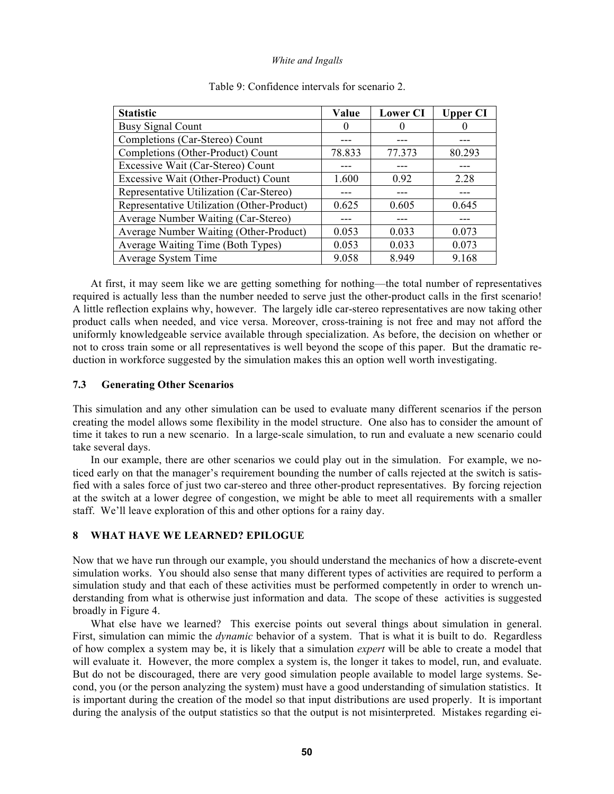| <b>Statistic</b>                           | Value  | <b>Lower CI</b> | <b>Upper CI</b> |
|--------------------------------------------|--------|-----------------|-----------------|
| <b>Busy Signal Count</b>                   | $_{0}$ | U               |                 |
| Completions (Car-Stereo) Count             |        |                 |                 |
| Completions (Other-Product) Count          | 78.833 | 77.373          | 80.293          |
| Excessive Wait (Car-Stereo) Count          |        |                 |                 |
| Excessive Wait (Other-Product) Count       | 1.600  | 0.92            | 2.28            |
| Representative Utilization (Car-Stereo)    |        |                 |                 |
| Representative Utilization (Other-Product) | 0.625  | 0.605           | 0.645           |
| Average Number Waiting (Car-Stereo)        |        |                 |                 |
| Average Number Waiting (Other-Product)     | 0.053  | 0.033           | 0.073           |
| Average Waiting Time (Both Types)          | 0.053  | 0.033           | 0.073           |
| Average System Time                        | 9.058  | 8.949           | 9.168           |

#### Table 9: Confidence intervals for scenario 2.

At first, it may seem like we are getting something for nothing—the total number of representatives required is actually less than the number needed to serve just the other-product calls in the first scenario! A little reflection explains why, however. The largely idle car-stereo representatives are now taking other product calls when needed, and vice versa. Moreover, cross-training is not free and may not afford the uniformly knowledgeable service available through specialization. As before, the decision on whether or not to cross train some or all representatives is well beyond the scope of this paper. But the dramatic reduction in workforce suggested by the simulation makes this an option well worth investigating.

### **7.3 Generating Other Scenarios**

This simulation and any other simulation can be used to evaluate many different scenarios if the person creating the model allows some flexibility in the model structure. One also has to consider the amount of time it takes to run a new scenario. In a large-scale simulation, to run and evaluate a new scenario could take several days.

In our example, there are other scenarios we could play out in the simulation. For example, we noticed early on that the manager's requirement bounding the number of calls rejected at the switch is satisfied with a sales force of just two car-stereo and three other-product representatives. By forcing rejection at the switch at a lower degree of congestion, we might be able to meet all requirements with a smaller staff. We'll leave exploration of this and other options for a rainy day.

### **8 WHAT HAVE WE LEARNED? EPILOGUE**

Now that we have run through our example, you should understand the mechanics of how a discrete-event simulation works. You should also sense that many different types of activities are required to perform a simulation study and that each of these activities must be performed competently in order to wrench understanding from what is otherwise just information and data. The scope of these activities is suggested broadly in Figure 4.

What else have we learned? This exercise points out several things about simulation in general. First, simulation can mimic the *dynamic* behavior of a system. That is what it is built to do. Regardless of how complex a system may be, it is likely that a simulation *expert* will be able to create a model that will evaluate it. However, the more complex a system is, the longer it takes to model, run, and evaluate. But do not be discouraged, there are very good simulation people available to model large systems. Second, you (or the person analyzing the system) must have a good understanding of simulation statistics. It is important during the creation of the model so that input distributions are used properly. It is important during the analysis of the output statistics so that the output is not misinterpreted. Mistakes regarding ei-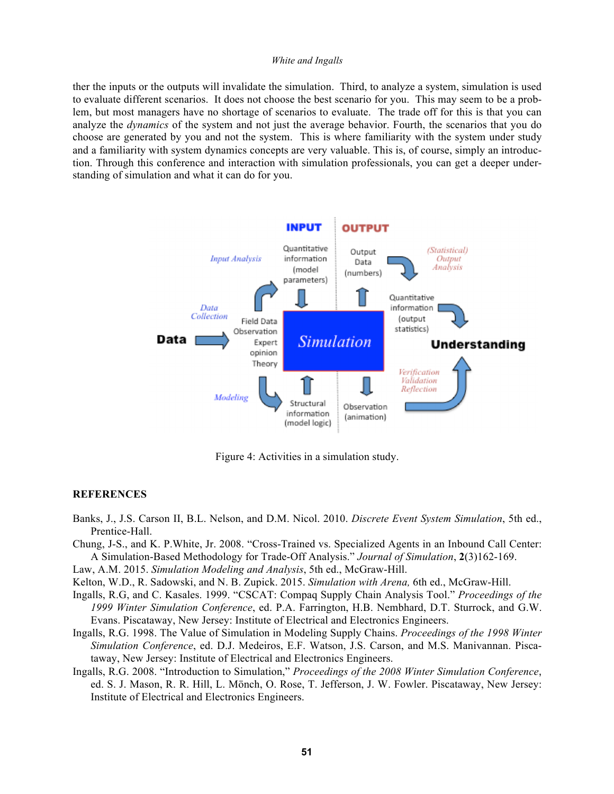ther the inputs or the outputs will invalidate the simulation. Third, to analyze a system, simulation is used to evaluate different scenarios. It does not choose the best scenario for you. This may seem to be a problem, but most managers have no shortage of scenarios to evaluate. The trade off for this is that you can analyze the *dynamics* of the system and not just the average behavior. Fourth, the scenarios that you do choose are generated by you and not the system. This is where familiarity with the system under study and a familiarity with system dynamics concepts are very valuable. This is, of course, simply an introduction. Through this conference and interaction with simulation professionals, you can get a deeper understanding of simulation and what it can do for you.



Figure 4: Activities in a simulation study.

#### **REFERENCES**

- Banks, J., J.S. Carson II, B.L. Nelson, and D.M. Nicol. 2010. *Discrete Event System Simulation*, 5th ed., Prentice-Hall.
- Chung, J-S., and K. P.White, Jr. 2008. "Cross-Trained vs. Specialized Agents in an Inbound Call Center: A Simulation-Based Methodology for Trade-Off Analysis." *Journal of Simulation*, **2**(3)162-169.
- Law, A.M. 2015. *Simulation Modeling and Analysis*, 5th ed., McGraw-Hill.
- Kelton, W.D., R. Sadowski, and N. B. Zupick. 2015. *Simulation with Arena,* 6th ed., McGraw-Hill.
- Ingalls, R.G, and C. Kasales. 1999. "CSCAT: Compaq Supply Chain Analysis Tool." *Proceedings of the 1999 Winter Simulation Conference*, ed. P.A. Farrington, H.B. Nembhard, D.T. Sturrock, and G.W. Evans. Piscataway, New Jersey: Institute of Electrical and Electronics Engineers.
- Ingalls, R.G. 1998. The Value of Simulation in Modeling Supply Chains. *Proceedings of the 1998 Winter Simulation Conference*, ed. D.J. Medeiros, E.F. Watson, J.S. Carson, and M.S. Manivannan. Piscataway, New Jersey: Institute of Electrical and Electronics Engineers.
- Ingalls, R.G. 2008. "Introduction to Simulation," *Proceedings of the 2008 Winter Simulation Conference*, ed. S. J. Mason, R. R. Hill, L. Mönch, O. Rose, T. Jefferson, J. W. Fowler. Piscataway, New Jersey: Institute of Electrical and Electronics Engineers.